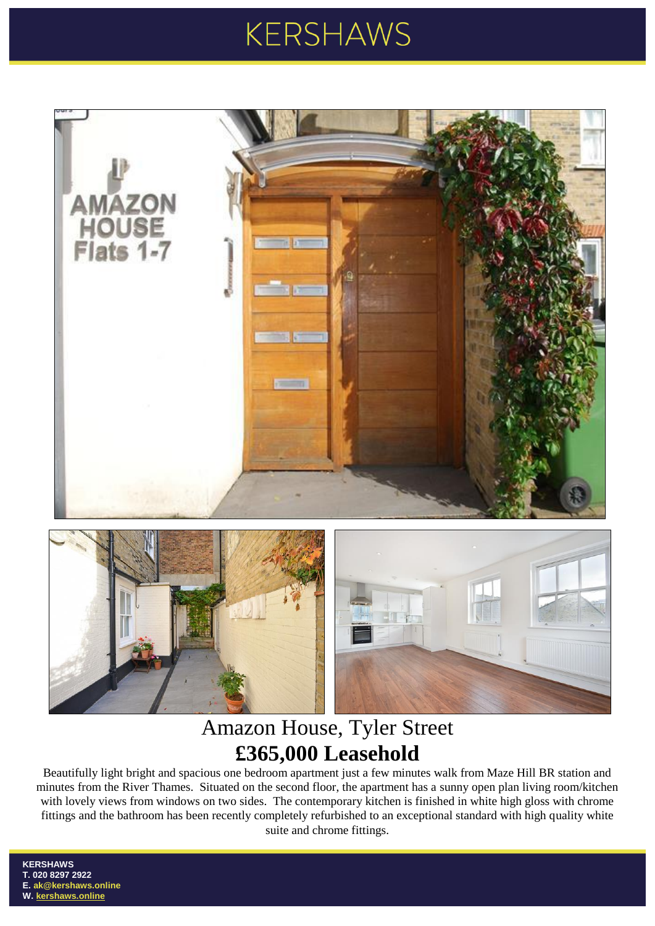## **KERSHAWS**





### Amazon House, Tyler Street **£365,000 Leasehold**

Beautifully light bright and spacious one bedroom apartment just a few minutes walk from Maze Hill BR station and minutes from the River Thames. Situated on the second floor, the apartment has a sunny open plan living room/kitchen with lovely views from windows on two sides. The contemporary kitchen is finished in white high gloss with chrome fittings and the bathroom has been recently completely refurbished to an exceptional standard with high quality white suite and chrome fittings.

**KERSHAWS T. 020 8297 2922 E. ak@kershaws.online W. kershaws.online**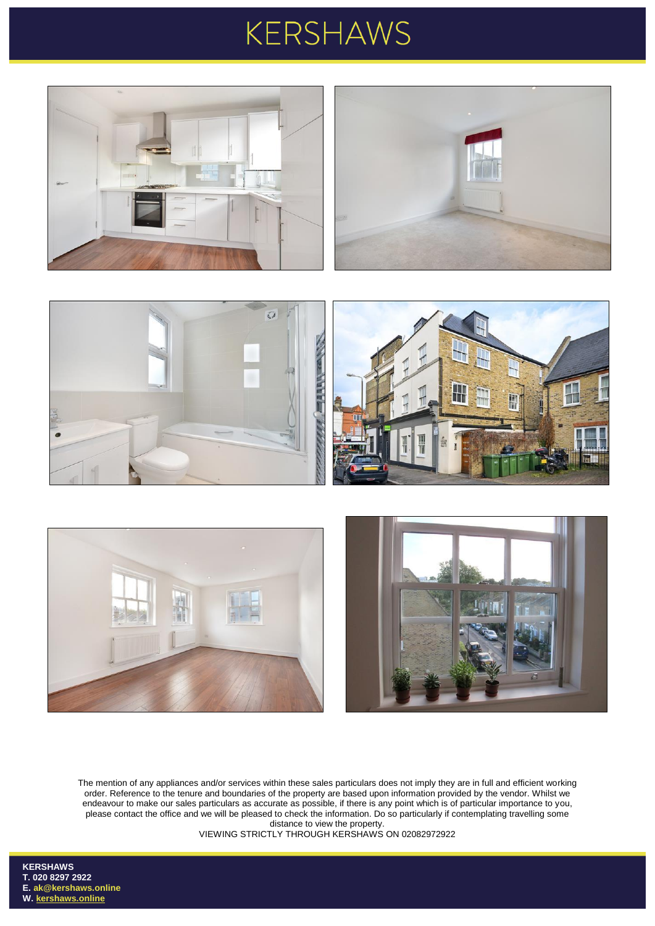### **KERSHAWS**











The mention of any appliances and/or services within these sales particulars does not imply they are in full and efficient working order. Reference to the tenure and boundaries of the property are based upon information provided by the vendor. Whilst we endeavour to make our sales particulars as accurate as possible, if there is any point which is of particular importance to you, please contact the office and we will be pleased to check the information. Do so particularly if contemplating travelling some distance to view the property.

VIEWING STRICTLY THROUGH KERSHAWS ON 02082972922

**KERSHAWS T. 020 8297 2922 E. ak@kershaws.online W. kershaws.online**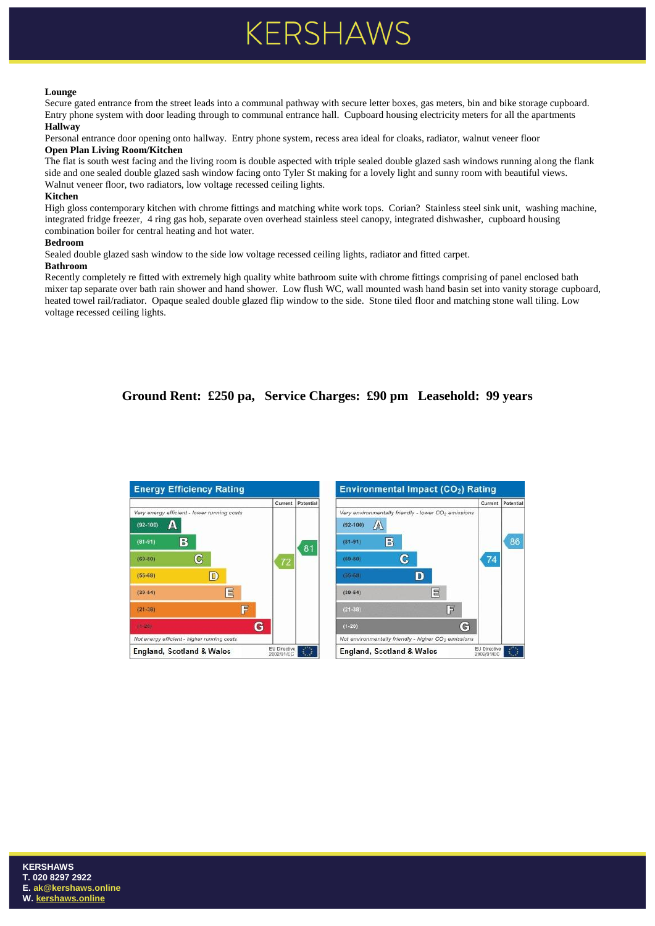# KERSHAWS

#### **Lounge**

Secure gated entrance from the street leads into a communal pathway with secure letter boxes, gas meters, bin and bike storage cupboard. Entry phone system with door leading through to communal entrance hall. Cupboard housing electricity meters for all the apartments **Hallway** 

Personal entrance door opening onto hallway. Entry phone system, recess area ideal for cloaks, radiator, walnut veneer floor **Open Plan Living Room/Kitchen** 

The flat is south west facing and the living room is double aspected with triple sealed double glazed sash windows running along the flank side and one sealed double glazed sash window facing onto Tyler St making for a lovely light and sunny room with beautiful views. Walnut veneer floor, two radiators, low voltage recessed ceiling lights.

#### **Kitchen**

High gloss contemporary kitchen with chrome fittings and matching white work tops. Corian? Stainless steel sink unit, washing machine, integrated fridge freezer, 4 ring gas hob, separate oven overhead stainless steel canopy, integrated dishwasher, cupboard housing combination boiler for central heating and hot water.

#### **Bedroom**

Sealed double glazed sash window to the side low voltage recessed ceiling lights, radiator and fitted carpet.

#### **Bathroom**

Recently completely re fitted with extremely high quality white bathroom suite with chrome fittings comprising of panel enclosed bath mixer tap separate over bath rain shower and hand shower. Low flush WC, wall mounted wash hand basin set into vanity storage cupboard, heated towel rail/radiator. Opaque sealed double glazed flip window to the side. Stone tiled floor and matching stone wall tiling. Low voltage recessed ceiling lights.

### **Ground Rent: £250 pa, Service Charges: £90 pm Leasehold: 99 years**